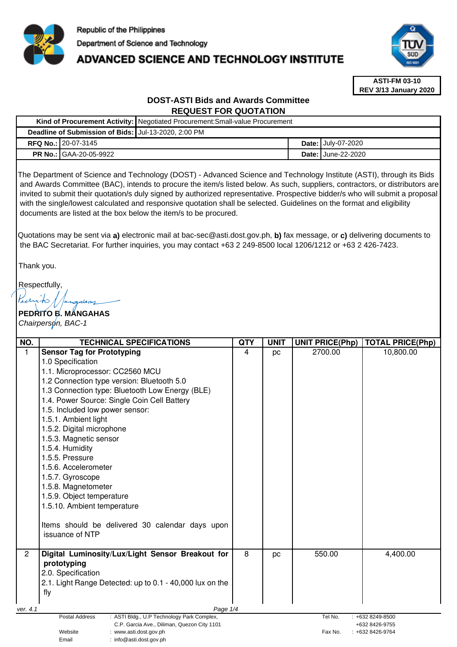

 $\overline{1}$ 

**Deadline of Submission of Bids:** Jul-13-2020, 2:00 PM

**Kind of Procurement Activity:** Negotiated Procurement:Small-value Procurement

# ADVANCED SCIENCE AND TECHNOLOGY INSTITUTE



**ASTI-FM 03-10 REV 3/13 January 2020**

# **DOST-ASTI Bids and Awards Committee REQUEST FOR QUOTATION**

|                                                                                                                                                                                                                                                                                                                                                                                                                                                                                                                                                                                                                                                                                                                                                                                                                                                | RFQ No.: 20-07-3145                                                                                         |            |             |  | Date: July-07-2020                |                                       |  |
|------------------------------------------------------------------------------------------------------------------------------------------------------------------------------------------------------------------------------------------------------------------------------------------------------------------------------------------------------------------------------------------------------------------------------------------------------------------------------------------------------------------------------------------------------------------------------------------------------------------------------------------------------------------------------------------------------------------------------------------------------------------------------------------------------------------------------------------------|-------------------------------------------------------------------------------------------------------------|------------|-------------|--|-----------------------------------|---------------------------------------|--|
|                                                                                                                                                                                                                                                                                                                                                                                                                                                                                                                                                                                                                                                                                                                                                                                                                                                | <b>PR No.: GAA-20-05-9922</b>                                                                               |            |             |  | Date: June-22-2020                |                                       |  |
| The Department of Science and Technology (DOST) - Advanced Science and Technology Institute (ASTI), through its Bids<br>and Awards Committee (BAC), intends to procure the item/s listed below. As such, suppliers, contractors, or distributors are<br>invited to submit their quotation/s duly signed by authorized representative. Prospective bidder/s who will submit a proposal<br>with the single/lowest calculated and responsive quotation shall be selected. Guidelines on the format and eligibility<br>documents are listed at the box below the item/s to be procured.<br>Quotations may be sent via a) electronic mail at bac-sec@asti.dost.gov.ph, b) fax message, or c) delivering documents to<br>the BAC Secretariat. For further inquiries, you may contact +63 2 249-8500 local 1206/1212 or +63 2 426-7423.<br>Thank you. |                                                                                                             |            |             |  |                                   |                                       |  |
|                                                                                                                                                                                                                                                                                                                                                                                                                                                                                                                                                                                                                                                                                                                                                                                                                                                |                                                                                                             |            |             |  |                                   |                                       |  |
|                                                                                                                                                                                                                                                                                                                                                                                                                                                                                                                                                                                                                                                                                                                                                                                                                                                | Respectfully,                                                                                               |            |             |  |                                   |                                       |  |
| Karito                                                                                                                                                                                                                                                                                                                                                                                                                                                                                                                                                                                                                                                                                                                                                                                                                                         |                                                                                                             |            |             |  |                                   |                                       |  |
|                                                                                                                                                                                                                                                                                                                                                                                                                                                                                                                                                                                                                                                                                                                                                                                                                                                | PEDRITO B. MANGAHAS                                                                                         |            |             |  |                                   |                                       |  |
|                                                                                                                                                                                                                                                                                                                                                                                                                                                                                                                                                                                                                                                                                                                                                                                                                                                | Chairperson, BAC-1                                                                                          |            |             |  |                                   |                                       |  |
|                                                                                                                                                                                                                                                                                                                                                                                                                                                                                                                                                                                                                                                                                                                                                                                                                                                | <b>TECHNICAL SPECIFICATIONS</b>                                                                             | <b>QTY</b> | <b>UNIT</b> |  |                                   |                                       |  |
| NO.<br>$\mathbf{1}$                                                                                                                                                                                                                                                                                                                                                                                                                                                                                                                                                                                                                                                                                                                                                                                                                            | <b>Sensor Tag for Prototyping</b>                                                                           | 4          | pc          |  | <b>UNIT PRICE(Php)</b><br>2700.00 | <b>TOTAL PRICE(Php)</b><br>10,800.00  |  |
|                                                                                                                                                                                                                                                                                                                                                                                                                                                                                                                                                                                                                                                                                                                                                                                                                                                | 1.0 Specification                                                                                           |            |             |  |                                   |                                       |  |
|                                                                                                                                                                                                                                                                                                                                                                                                                                                                                                                                                                                                                                                                                                                                                                                                                                                | 1.1. Microprocessor: CC2560 MCU                                                                             |            |             |  |                                   |                                       |  |
|                                                                                                                                                                                                                                                                                                                                                                                                                                                                                                                                                                                                                                                                                                                                                                                                                                                | 1.2 Connection type version: Bluetooth 5.0                                                                  |            |             |  |                                   |                                       |  |
|                                                                                                                                                                                                                                                                                                                                                                                                                                                                                                                                                                                                                                                                                                                                                                                                                                                | 1.3 Connection type: Bluetooth Low Energy (BLE)                                                             |            |             |  |                                   |                                       |  |
|                                                                                                                                                                                                                                                                                                                                                                                                                                                                                                                                                                                                                                                                                                                                                                                                                                                | 1.4. Power Source: Single Coin Cell Battery                                                                 |            |             |  |                                   |                                       |  |
|                                                                                                                                                                                                                                                                                                                                                                                                                                                                                                                                                                                                                                                                                                                                                                                                                                                | 1.5. Included low power sensor:                                                                             |            |             |  |                                   |                                       |  |
|                                                                                                                                                                                                                                                                                                                                                                                                                                                                                                                                                                                                                                                                                                                                                                                                                                                | 1.5.1. Ambient light                                                                                        |            |             |  |                                   |                                       |  |
|                                                                                                                                                                                                                                                                                                                                                                                                                                                                                                                                                                                                                                                                                                                                                                                                                                                | 1.5.2. Digital microphone                                                                                   |            |             |  |                                   |                                       |  |
|                                                                                                                                                                                                                                                                                                                                                                                                                                                                                                                                                                                                                                                                                                                                                                                                                                                | 1.5.3. Magnetic sensor                                                                                      |            |             |  |                                   |                                       |  |
|                                                                                                                                                                                                                                                                                                                                                                                                                                                                                                                                                                                                                                                                                                                                                                                                                                                | 1.5.4. Humidity<br>1.5.5. Pressure                                                                          |            |             |  |                                   |                                       |  |
|                                                                                                                                                                                                                                                                                                                                                                                                                                                                                                                                                                                                                                                                                                                                                                                                                                                | 1.5.6. Accelerometer                                                                                        |            |             |  |                                   |                                       |  |
|                                                                                                                                                                                                                                                                                                                                                                                                                                                                                                                                                                                                                                                                                                                                                                                                                                                | 1.5.7. Gyroscope                                                                                            |            |             |  |                                   |                                       |  |
|                                                                                                                                                                                                                                                                                                                                                                                                                                                                                                                                                                                                                                                                                                                                                                                                                                                | 1.5.8. Magnetometer                                                                                         |            |             |  |                                   |                                       |  |
|                                                                                                                                                                                                                                                                                                                                                                                                                                                                                                                                                                                                                                                                                                                                                                                                                                                | 1.5.9. Object temperature                                                                                   |            |             |  |                                   |                                       |  |
|                                                                                                                                                                                                                                                                                                                                                                                                                                                                                                                                                                                                                                                                                                                                                                                                                                                | 1.5.10. Ambient temperature                                                                                 |            |             |  |                                   |                                       |  |
|                                                                                                                                                                                                                                                                                                                                                                                                                                                                                                                                                                                                                                                                                                                                                                                                                                                |                                                                                                             |            |             |  |                                   |                                       |  |
|                                                                                                                                                                                                                                                                                                                                                                                                                                                                                                                                                                                                                                                                                                                                                                                                                                                | Items should be delivered 30 calendar days upon                                                             |            |             |  |                                   |                                       |  |
|                                                                                                                                                                                                                                                                                                                                                                                                                                                                                                                                                                                                                                                                                                                                                                                                                                                | issuance of NTP                                                                                             |            |             |  |                                   |                                       |  |
| $\overline{2}$                                                                                                                                                                                                                                                                                                                                                                                                                                                                                                                                                                                                                                                                                                                                                                                                                                 |                                                                                                             | 8          |             |  |                                   |                                       |  |
|                                                                                                                                                                                                                                                                                                                                                                                                                                                                                                                                                                                                                                                                                                                                                                                                                                                | Digital Luminosity/Lux/Light Sensor Breakout for                                                            |            | pc          |  | 550.00                            | 4,400.00                              |  |
|                                                                                                                                                                                                                                                                                                                                                                                                                                                                                                                                                                                                                                                                                                                                                                                                                                                | prototyping<br>2.0. Specification                                                                           |            |             |  |                                   |                                       |  |
|                                                                                                                                                                                                                                                                                                                                                                                                                                                                                                                                                                                                                                                                                                                                                                                                                                                | 2.1. Light Range Detected: up to 0.1 - 40,000 lux on the                                                    |            |             |  |                                   |                                       |  |
|                                                                                                                                                                                                                                                                                                                                                                                                                                                                                                                                                                                                                                                                                                                                                                                                                                                | fly                                                                                                         |            |             |  |                                   |                                       |  |
|                                                                                                                                                                                                                                                                                                                                                                                                                                                                                                                                                                                                                                                                                                                                                                                                                                                |                                                                                                             |            |             |  |                                   |                                       |  |
| ver. 4.1                                                                                                                                                                                                                                                                                                                                                                                                                                                                                                                                                                                                                                                                                                                                                                                                                                       | Page 1/4                                                                                                    |            |             |  |                                   |                                       |  |
|                                                                                                                                                                                                                                                                                                                                                                                                                                                                                                                                                                                                                                                                                                                                                                                                                                                | Postal Address<br>: ASTI Bldg., U.P Technology Park Complex,<br>C.P. Garcia Ave., Diliman, Quezon City 1101 |            |             |  | Tel No.                           | $: +6328249 - 8500$<br>+632 8426-9755 |  |
|                                                                                                                                                                                                                                                                                                                                                                                                                                                                                                                                                                                                                                                                                                                                                                                                                                                | Website<br>: www.asti.dost.gov.ph<br>Fax No.<br>$: +6328426-9764$                                           |            |             |  |                                   |                                       |  |
|                                                                                                                                                                                                                                                                                                                                                                                                                                                                                                                                                                                                                                                                                                                                                                                                                                                | Email<br>: info@asti.dost.gov.ph                                                                            |            |             |  |                                   |                                       |  |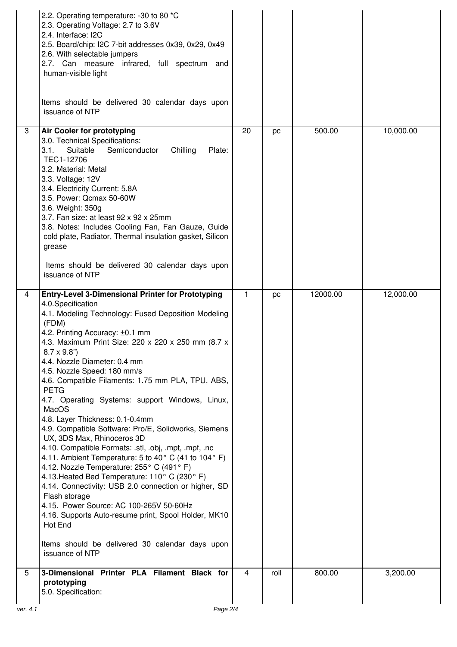|          | 2.2. Operating temperature: -30 to 80 *C<br>2.3. Operating Voltage: 2.7 to 3.6V<br>2.4. Interface: I2C<br>2.5. Board/chip: I2C 7-bit addresses 0x39, 0x29, 0x49<br>2.6. With selectable jumpers<br>2.7. Can measure infrared, full spectrum and<br>human-visible light<br>Items should be delivered 30 calendar days upon<br>issuance of NTP                                                                                                                                                                                                                                                                                                                                                                                                                                                                                                                                                                                                                                                                                                                                           |                |      |          |           |
|----------|----------------------------------------------------------------------------------------------------------------------------------------------------------------------------------------------------------------------------------------------------------------------------------------------------------------------------------------------------------------------------------------------------------------------------------------------------------------------------------------------------------------------------------------------------------------------------------------------------------------------------------------------------------------------------------------------------------------------------------------------------------------------------------------------------------------------------------------------------------------------------------------------------------------------------------------------------------------------------------------------------------------------------------------------------------------------------------------|----------------|------|----------|-----------|
| 3        | Air Cooler for prototyping<br>3.0. Technical Specifications:<br>Chilling<br>3.1.<br>Suitable<br>Semiconductor<br>Plate:<br>TEC1-12706<br>3.2. Material: Metal<br>3.3. Voltage: 12V<br>3.4. Electricity Current: 5.8A<br>3.5. Power: Qcmax 50-60W<br>3.6. Weight: 350g<br>3.7. Fan size: at least 92 x 92 x 25mm<br>3.8. Notes: Includes Cooling Fan, Fan Gauze, Guide<br>cold plate, Radiator, Thermal insulation gasket, Silicon<br>grease<br>Items should be delivered 30 calendar days upon<br>issuance of NTP                                                                                                                                                                                                                                                                                                                                                                                                                                                                                                                                                                      | 20             | pc   | 500.00   | 10,000.00 |
| 4        | <b>Entry-Level 3-Dimensional Printer for Prototyping</b><br>4.0. Specification<br>4.1. Modeling Technology: Fused Deposition Modeling<br>(FDM)<br>4.2. Printing Accuracy: ±0.1 mm<br>4.3. Maximum Print Size: 220 x 220 x 250 mm (8.7 x<br>$8.7 \times 9.8$ ")<br>4.4. Nozzle Diameter: 0.4 mm<br>4.5. Nozzle Speed: 180 mm/s<br>4.6. Compatible Filaments: 1.75 mm PLA, TPU, ABS,<br><b>PETG</b><br>4.7. Operating Systems: support Windows, Linux,<br>MacOS<br>4.8. Layer Thickness: 0.1-0.4mm<br>4.9. Compatible Software: Pro/E, Solidworks, Siemens<br>UX, 3DS Max, Rhinoceros 3D<br>4.10. Compatible Formats: .stl, .obj, .mpt, .mpf, .nc<br>4.11. Ambient Temperature: 5 to 40 $^{\circ}$ C (41 to 104 $^{\circ}$ F)<br>4.12. Nozzle Temperature: 255° C (491° F)<br>4.13. Heated Bed Temperature: 110° C (230° F)<br>4.14. Connectivity: USB 2.0 connection or higher, SD<br>Flash storage<br>4.15. Power Source: AC 100-265V 50-60Hz<br>4.16. Supports Auto-resume print, Spool Holder, MK10<br>Hot End<br>Items should be delivered 30 calendar days upon<br>issuance of NTP | $\mathbf{1}$   | pc   | 12000.00 | 12,000.00 |
| 5        | 3-Dimensional Printer PLA Filament Black for<br>prototyping<br>5.0. Specification:                                                                                                                                                                                                                                                                                                                                                                                                                                                                                                                                                                                                                                                                                                                                                                                                                                                                                                                                                                                                     | $\overline{4}$ | roll | 800.00   | 3,200.00  |
| ver. 4.1 | Page 2/4                                                                                                                                                                                                                                                                                                                                                                                                                                                                                                                                                                                                                                                                                                                                                                                                                                                                                                                                                                                                                                                                               |                |      |          |           |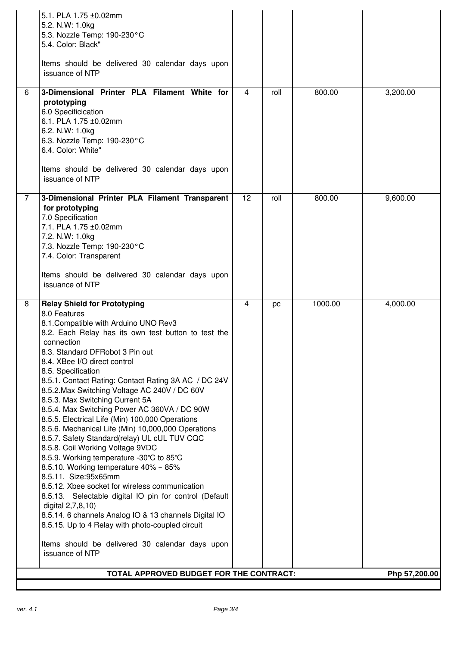|                | 5.1. PLA 1.75 ±0.02mm<br>5.2. N.W: 1.0kg<br>5.3. Nozzle Temp: 190-230°C<br>5.4. Color: Black"<br>Items should be delivered 30 calendar days upon<br>issuance of NTP                                                                                                                                                                                                                                                                                                                                                                                                                                                                                                                                                                                                                                                                                                                                                                                                                                                                                                                |                |      |         |          |  |
|----------------|------------------------------------------------------------------------------------------------------------------------------------------------------------------------------------------------------------------------------------------------------------------------------------------------------------------------------------------------------------------------------------------------------------------------------------------------------------------------------------------------------------------------------------------------------------------------------------------------------------------------------------------------------------------------------------------------------------------------------------------------------------------------------------------------------------------------------------------------------------------------------------------------------------------------------------------------------------------------------------------------------------------------------------------------------------------------------------|----------------|------|---------|----------|--|
| 6              | 3-Dimensional Printer PLA Filament White for<br>prototyping<br>6.0 Specificication<br>6.1. PLA 1.75 ±0.02mm<br>6.2. N.W: 1.0kg<br>6.3. Nozzle Temp: 190-230°C<br>6.4. Color: White"                                                                                                                                                                                                                                                                                                                                                                                                                                                                                                                                                                                                                                                                                                                                                                                                                                                                                                | $\overline{4}$ | roll | 800.00  | 3,200.00 |  |
|                | Items should be delivered 30 calendar days upon<br>issuance of NTP                                                                                                                                                                                                                                                                                                                                                                                                                                                                                                                                                                                                                                                                                                                                                                                                                                                                                                                                                                                                                 |                |      |         |          |  |
| $\overline{7}$ | 3-Dimensional Printer PLA Filament Transparent<br>for prototyping<br>7.0 Specification<br>7.1. PLA 1.75 ±0.02mm<br>7.2. N.W: 1.0kg<br>7.3. Nozzle Temp: 190-230°C<br>7.4. Color: Transparent<br>Items should be delivered 30 calendar days upon<br>issuance of NTP                                                                                                                                                                                                                                                                                                                                                                                                                                                                                                                                                                                                                                                                                                                                                                                                                 | 12             | roll | 800.00  | 9,600.00 |  |
| 8              | <b>Relay Shield for Prototyping</b><br>8.0 Features<br>8.1. Compatible with Arduino UNO Rev3<br>8.2. Each Relay has its own test button to test the<br>connection<br>8.3. Standard DFRobot 3 Pin out<br>8.4. XBee I/O direct control<br>8.5. Specification<br>8.5.1. Contact Rating: Contact Rating 3A AC / DC 24V<br>8.5.2. Max Switching Voltage AC 240V / DC 60V<br>8.5.3. Max Switching Current 5A<br>8.5.4. Max Switching Power AC 360VA / DC 90W<br>8.5.5. Electrical Life (Min) 100,000 Operations<br>8.5.6. Mechanical Life (Min) 10,000,000 Operations<br>8.5.7. Safety Standard(relay) UL cUL TUV CQC<br>8.5.8. Coil Working Voltage 9VDC<br>8.5.9. Working temperature -30℃ to 85℃<br>8.5.10. Working temperature 40% - 85%<br>8.5.11. Size:95x65mm<br>8.5.12. Xbee socket for wireless communication<br>8.5.13. Selectable digital IO pin for control (Default<br>digital 2,7,8,10)<br>8.5.14. 6 channels Analog IO & 13 channels Digital IO<br>8.5.15. Up to 4 Relay with photo-coupled circuit<br>Items should be delivered 30 calendar days upon<br>issuance of NTP | 4              | pc   | 1000.00 | 4,000.00 |  |
|                | TOTAL APPROVED BUDGET FOR THE CONTRACT:<br>Php 57,200.00                                                                                                                                                                                                                                                                                                                                                                                                                                                                                                                                                                                                                                                                                                                                                                                                                                                                                                                                                                                                                           |                |      |         |          |  |